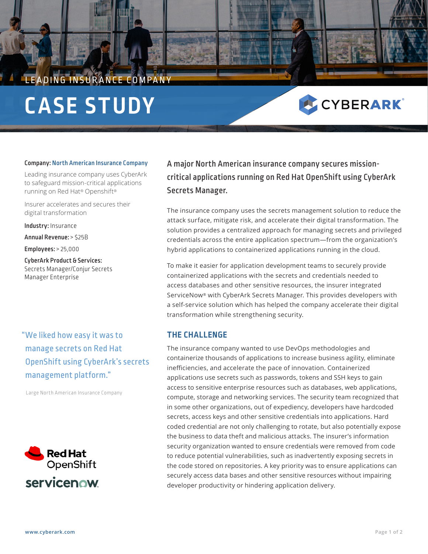# LEADING INSURANCE COMPANY **CASE STUDY**

# CYBERARK®

#### Company: North American Insurance Company

Leading insurance company uses CyberArk to safeguard mission-critical applications running on Red Hat® Openshift®

Insurer accelerates and secures their digital transformation

Industry: Insurance

Annual Revenue: > \$25B

Employees: > 25,000

CyberArk Product & Services: Secrets Manager/Conjur Secrets Manager Enterprise

"We liked how easy it was to manage secrets on Red Hat OpenShift using CyberArk's secrets management platform."

Large North American Insurance Company



A major North American insurance company secures missioncritical applications running on Red Hat OpenShift using CyberArk Secrets Manager.

The insurance company uses the secrets management solution to reduce the attack surface, mitigate risk, and accelerate their digital transformation. The solution provides a centralized approach for managing secrets and privileged credentials across the entire application spectrum—from the organization's hybrid applications to containerized applications running in the cloud.

To make it easier for application development teams to securely provide containerized applications with the secrets and credentials needed to access databases and other sensitive resources, the insurer integrated ServiceNow® with CyberArk Secrets Manager. This provides developers with a self-service solution which has helped the company accelerate their digital transformation while strengthening security.

## **THE CHALLENGE**

The insurance company wanted to use DevOps methodologies and containerize thousands of applications to increase business agility, eliminate inefficiencies, and accelerate the pace of innovation. Containerized applications use secrets such as passwords, tokens and SSH keys to gain access to sensitive enterprise resources such as databases, web applications, compute, storage and networking services. The security team recognized that in some other organizations, out of expediency, developers have hardcoded secrets, access keys and other sensitive credentials into applications. Hard coded credential are not only challenging to rotate, but also potentially expose the business to data theft and malicious attacks. The insurer's information security organization wanted to ensure credentials were removed from code to reduce potential vulnerabilities, such as inadvertently exposing secrets in the code stored on repositories. A key priority was to ensure applications can securely access data bases and other sensitive resources without impairing developer productivity or hindering application delivery.